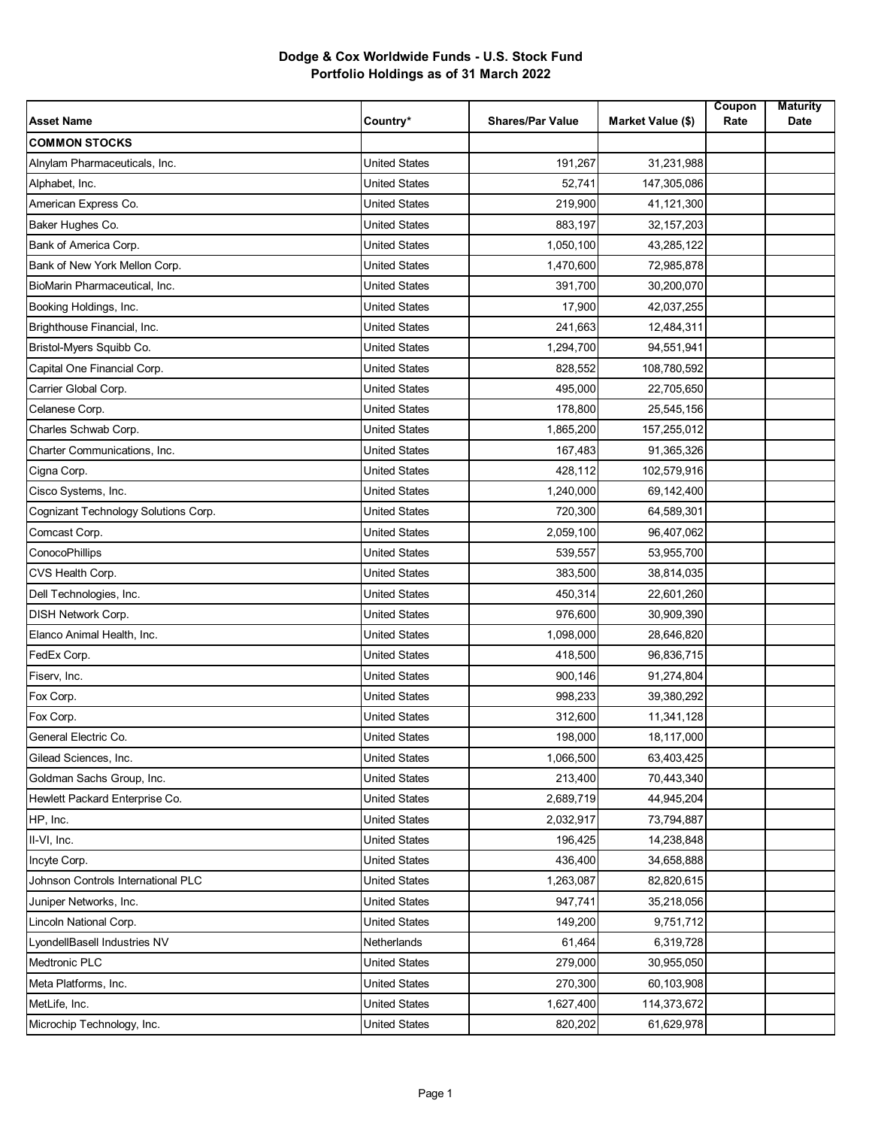## **Dodge & Cox Worldwide Funds - U.S. Stock Fund Portfolio Holdings as of 31 March 2022**

| <b>Asset Name</b>                    | Country*             | <b>Shares/Par Value</b> | Market Value (\$) | Coupon<br>Rate | <b>Maturity</b><br>Date |
|--------------------------------------|----------------------|-------------------------|-------------------|----------------|-------------------------|
| <b>COMMON STOCKS</b>                 |                      |                         |                   |                |                         |
| Alnylam Pharmaceuticals, Inc.        | <b>United States</b> | 191,267                 | 31,231,988        |                |                         |
| Alphabet, Inc.                       | <b>United States</b> | 52,741                  | 147,305,086       |                |                         |
| American Express Co.                 | <b>United States</b> | 219,900                 | 41,121,300        |                |                         |
| Baker Hughes Co.                     | <b>United States</b> | 883,197                 | 32, 157, 203      |                |                         |
| Bank of America Corp.                | <b>United States</b> | 1,050,100               | 43,285,122        |                |                         |
| Bank of New York Mellon Corp.        | <b>United States</b> | 1,470,600               | 72,985,878        |                |                         |
| BioMarin Pharmaceutical, Inc.        | <b>United States</b> | 391,700                 | 30,200,070        |                |                         |
| Booking Holdings, Inc.               | United States        | 17,900                  | 42,037,255        |                |                         |
| Brighthouse Financial, Inc.          | <b>United States</b> | 241,663                 | 12,484,311        |                |                         |
| Bristol-Myers Squibb Co.             | <b>United States</b> | 1,294,700               | 94,551,941        |                |                         |
| Capital One Financial Corp.          | <b>United States</b> | 828,552                 | 108,780,592       |                |                         |
| Carrier Global Corp.                 | <b>United States</b> | 495,000                 | 22,705,650        |                |                         |
| Celanese Corp.                       | United States        | 178,800                 | 25,545,156        |                |                         |
| Charles Schwab Corp.                 | <b>United States</b> | 1,865,200               | 157,255,012       |                |                         |
| Charter Communications, Inc.         | <b>United States</b> | 167,483                 | 91,365,326        |                |                         |
| Cigna Corp.                          | <b>United States</b> | 428,112                 | 102,579,916       |                |                         |
| Cisco Systems, Inc.                  | <b>United States</b> | 1,240,000               | 69,142,400        |                |                         |
| Cognizant Technology Solutions Corp. | <b>United States</b> | 720,300                 | 64,589,301        |                |                         |
| Comcast Corp.                        | <b>United States</b> | 2,059,100               | 96,407,062        |                |                         |
| ConocoPhillips                       | <b>United States</b> | 539,557                 | 53,955,700        |                |                         |
| CVS Health Corp.                     | <b>United States</b> | 383,500                 | 38,814,035        |                |                         |
| Dell Technologies, Inc.              | <b>United States</b> | 450,314                 | 22,601,260        |                |                         |
| <b>DISH Network Corp.</b>            | United States        | 976,600                 | 30,909,390        |                |                         |
| Elanco Animal Health, Inc.           | <b>United States</b> | 1,098,000               | 28,646,820        |                |                         |
| FedEx Corp.                          | <b>United States</b> | 418,500                 | 96,836,715        |                |                         |
| Fiserv, Inc.                         | <b>United States</b> | 900,146                 | 91,274,804        |                |                         |
| Fox Corp.                            | <b>United States</b> | 998,233                 | 39,380,292        |                |                         |
| Fox Corp.                            | <b>United States</b> | 312,600                 | 11,341,128        |                |                         |
| General Electric Co.                 | United States        | 198,000                 | 18,117,000        |                |                         |
| Gilead Sciences, Inc.                | United States        | 1,066,500               | 63,403,425        |                |                         |
| Goldman Sachs Group, Inc.            | <b>United States</b> | 213,400                 | 70,443,340        |                |                         |
| Hewlett Packard Enterprise Co.       | United States        | 2,689,719               | 44,945,204        |                |                         |
| HP, Inc.                             | United States        | 2,032,917               | 73,794,887        |                |                         |
| II-VI, Inc.                          | <b>United States</b> | 196,425                 | 14,238,848        |                |                         |
| Incyte Corp.                         | United States        | 436,400                 | 34,658,888        |                |                         |
| Johnson Controls International PLC   | <b>United States</b> | 1,263,087               | 82,820,615        |                |                         |
| Juniper Networks, Inc.               | United States        | 947,741                 | 35,218,056        |                |                         |
| Lincoln National Corp.               | United States        | 149,200                 | 9,751,712         |                |                         |
| LyondellBasell Industries NV         | Netherlands          | 61,464                  | 6,319,728         |                |                         |
| <b>Medtronic PLC</b>                 | United States        | 279,000                 | 30,955,050        |                |                         |
| Meta Platforms, Inc.                 | <b>United States</b> | 270,300                 | 60,103,908        |                |                         |
| MetLife, Inc.                        | <b>United States</b> | 1,627,400               | 114,373,672       |                |                         |
| Microchip Technology, Inc.           | <b>United States</b> | 820,202                 | 61,629,978        |                |                         |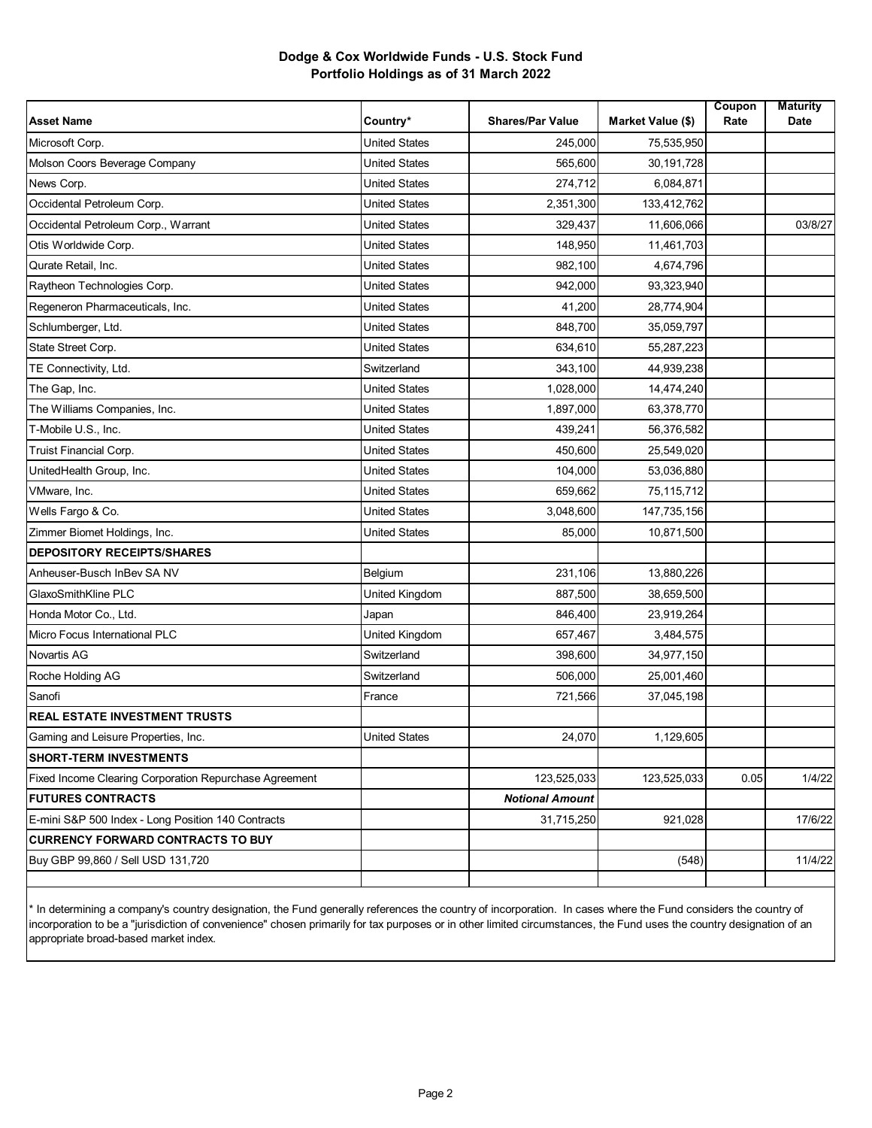## **Dodge & Cox Worldwide Funds - U.S. Stock Fund Portfolio Holdings as of 31 March 2022**

| <b>Asset Name</b>                                      | Country*             | <b>Shares/Par Value</b> | Market Value (\$) | Coupon<br>Rate | <b>Maturity</b><br>Date |
|--------------------------------------------------------|----------------------|-------------------------|-------------------|----------------|-------------------------|
| Microsoft Corp.                                        | <b>United States</b> | 245.000                 | 75,535,950        |                |                         |
| Molson Coors Beverage Company                          | <b>United States</b> | 565,600                 | 30,191,728        |                |                         |
| News Corp.                                             | <b>United States</b> | 274,712                 | 6,084,871         |                |                         |
| Occidental Petroleum Corp.                             | <b>United States</b> | 2,351,300               | 133,412,762       |                |                         |
| Occidental Petroleum Corp., Warrant                    | <b>United States</b> | 329,437                 | 11,606,066        |                | 03/8/27                 |
| Otis Worldwide Corp.                                   | <b>United States</b> | 148,950                 | 11,461,703        |                |                         |
| Qurate Retail, Inc.                                    | <b>United States</b> | 982,100                 | 4,674,796         |                |                         |
| Raytheon Technologies Corp.                            | <b>United States</b> | 942,000                 | 93,323,940        |                |                         |
| Regeneron Pharmaceuticals, Inc.                        | <b>United States</b> | 41,200                  | 28,774,904        |                |                         |
| Schlumberger, Ltd.                                     | <b>United States</b> | 848,700                 | 35,059,797        |                |                         |
| State Street Corp.                                     | <b>United States</b> | 634,610                 | 55,287,223        |                |                         |
| TE Connectivity, Ltd.                                  | Switzerland          | 343,100                 | 44,939,238        |                |                         |
| The Gap, Inc.                                          | <b>United States</b> | 1,028,000               | 14,474,240        |                |                         |
| The Williams Companies, Inc.                           | <b>United States</b> | 1,897,000               | 63,378,770        |                |                         |
| T-Mobile U.S., Inc.                                    | <b>United States</b> | 439,241                 | 56,376,582        |                |                         |
| Truist Financial Corp.                                 | <b>United States</b> | 450,600                 | 25,549,020        |                |                         |
| UnitedHealth Group, Inc.                               | <b>United States</b> | 104,000                 | 53,036,880        |                |                         |
| VMware, Inc.                                           | <b>United States</b> | 659,662                 | 75,115,712        |                |                         |
| Wells Fargo & Co.                                      | <b>United States</b> | 3,048,600               | 147,735,156       |                |                         |
| Zimmer Biomet Holdings, Inc.                           | <b>United States</b> | 85,000                  | 10,871,500        |                |                         |
| <b>DEPOSITORY RECEIPTS/SHARES</b>                      |                      |                         |                   |                |                         |
| Anheuser-Busch InBev SA NV                             | Belgium              | 231,106                 | 13,880,226        |                |                         |
| GlaxoSmithKline PLC                                    | United Kingdom       | 887,500                 | 38,659,500        |                |                         |
| Honda Motor Co., Ltd.                                  | Japan                | 846,400                 | 23,919,264        |                |                         |
| Micro Focus International PLC                          | United Kingdom       | 657,467                 | 3,484,575         |                |                         |
| Novartis AG                                            | Switzerland          | 398,600                 | 34,977,150        |                |                         |
| Roche Holding AG                                       | Switzerland          | 506,000                 | 25,001,460        |                |                         |
| Sanofi                                                 | France               | 721,566                 | 37,045,198        |                |                         |
| <b>REAL ESTATE INVESTMENT TRUSTS</b>                   |                      |                         |                   |                |                         |
| Gaming and Leisure Properties, Inc.                    | <b>United States</b> | 24,070                  | 1,129,605         |                |                         |
| <b>SHORT-TERM INVESTMENTS</b>                          |                      |                         |                   |                |                         |
| Fixed Income Clearing Corporation Repurchase Agreement |                      | 123,525,033             | 123,525,033       | 0.05           | 1/4/22                  |
| <b>FUTURES CONTRACTS</b>                               |                      | <b>Notional Amount</b>  |                   |                |                         |
| E-mini S&P 500 Index - Long Position 140 Contracts     |                      | 31,715,250              | 921,028           |                | 17/6/22                 |
| <b>CURRENCY FORWARD CONTRACTS TO BUY</b>               |                      |                         |                   |                |                         |
| Buy GBP 99,860 / Sell USD 131,720                      |                      |                         | (548)             |                | 11/4/22                 |
|                                                        |                      |                         |                   |                |                         |

\* In determining a company's country designation, the Fund generally references the country of incorporation. In cases where the Fund considers the country of incorporation to be a "jurisdiction of convenience" chosen primarily for tax purposes or in other limited circumstances, the Fund uses the country designation of an appropriate broad-based market index.